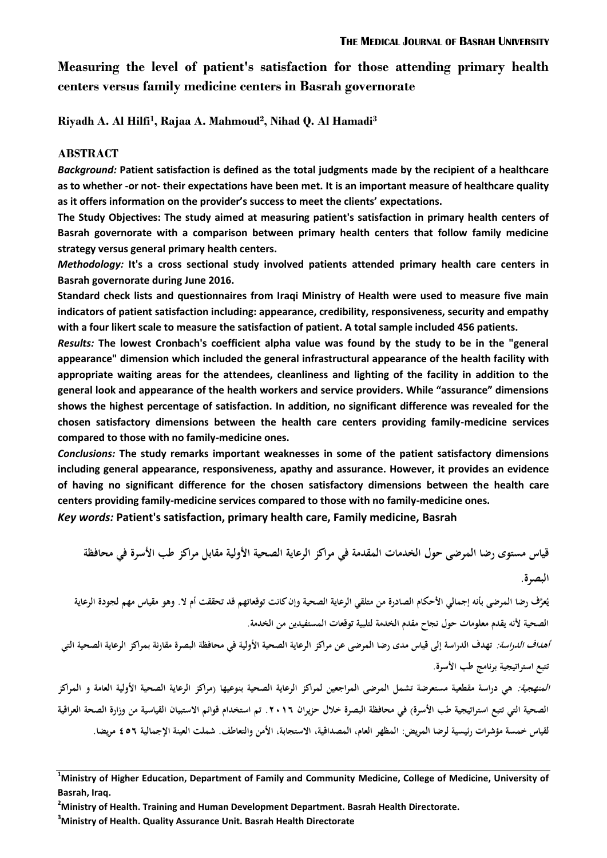**Measuring the level of patient's satisfaction for those attending primary health centers versus family medicine centers in Basrah governorate**

**Riyadh A. Al Hilfi<sup>1</sup> , Rajaa A. Mahmoud<sup>2</sup> , Nihad Q. Al Hamadi<sup>3</sup>**

#### **ABSTRACT**

*Background:* **Patient satisfaction is defined as the total judgments made by the recipient of a healthcare as to whether -or not- their expectations have been met. It is an important measure of healthcare quality as it offers information on the provider's success to meet the clients' expectations.**

**The Study Objectives: The study aimed at measuring patient's satisfaction in primary health centers of Basrah governorate with a comparison between primary health centers that follow family medicine strategy versus general primary health centers.**

*Methodology:* **It's a cross sectional study involved patients attended primary health care centers in Basrah governorate during June 2016.**

**Standard check lists and questionnaires from Iraqi Ministry of Health were used to measure five main indicators of patient satisfaction including: appearance, credibility, responsiveness, security and empathy with a four likert scale to measure the satisfaction of patient. A total sample included 456 patients.** 

*Results:* **The lowest Cronbach's coefficient alpha value was found by the study to be in the "general appearance" dimension which included the general infrastructural appearance of the health facility with appropriate waiting areas for the attendees, cleanliness and lighting of the facility in addition to the general look and appearance of the health workers and service providers. While "assurance" dimensions shows the highest percentage of satisfaction. In addition, no significant difference was revealed for the chosen satisfactory dimensions between the health care centers providing family-medicine services compared to those with no family-medicine ones.**

*Conclusions:* **The study remarks important weaknesses in some of the patient satisfactory dimensions including general appearance, responsiveness, apathy and assurance. However, it provides an evidence of having no significant difference for the chosen satisfactory dimensions between the health care centers providing family-medicine services compared to those with no family-medicine ones.**

*Key words:* **Patient's satisfaction, primary health care, Family medicine, Basrah**

**قياس مستوى رضا المرضى حول الخدمات المقدمة في مراكز الرعاية الصحية األولية مقابل مراكز طب األسرة في محافظة البصرة.**

بُعرَّف رضا المرضى بأنه إجمالي الأحكام الصادرة من متلقي الرعاية الصحية وإن كانت توقعاتهم قد تحققت أم لا. وهو مقياس مهم لجودة الرعاية **الصحية ألنه يقدم معلومات حول نجاح مقدم الخدمة لتلبية توقعات المستفيدين من الخدمة.**

**أهداف الدراسة: تهدف الدراسة إلى قياس مدى رضا المرضى عن مراكز الرعاية الصحية األولية في محافظة البصرة مقارنة بمراكز الرعاية الصحية التي تتبع استراتيجية برنامج طب األسرة.**

**المنهجية: هي دراسة مقطعية مستعرضة تشمل المرضى المراجعين لمراكز الرعاية الصحية بنوعيها )مراكز الرعاية الصحية األولية العامة و المراكز الصحية التي تتبع استراتيجية طب األسرة( في محافظة البصرة خالل حزيران .6102 تم استخدام قوائم االستبيان القياسية من وزارة الصحة العراقية لقياس خمسة مؤشرات رئيسية لرضا المريض: المظهر العام، المصداقية، االستجابة، األمن والتعاطف. شملت العينة اإلجمالية 652 مريضا.**

**<sup>1</sup>Ministry of Higher Education, Department of Family and Community Medicine, College of Medicine, University of Basrah, Iraq.**

**<sup>2</sup>Ministry of Health. Training and Human Development Department. Basrah Health Directorate.** 

**<sup>3</sup>Ministry of Health. Quality Assurance Unit. Basrah Health Directorate**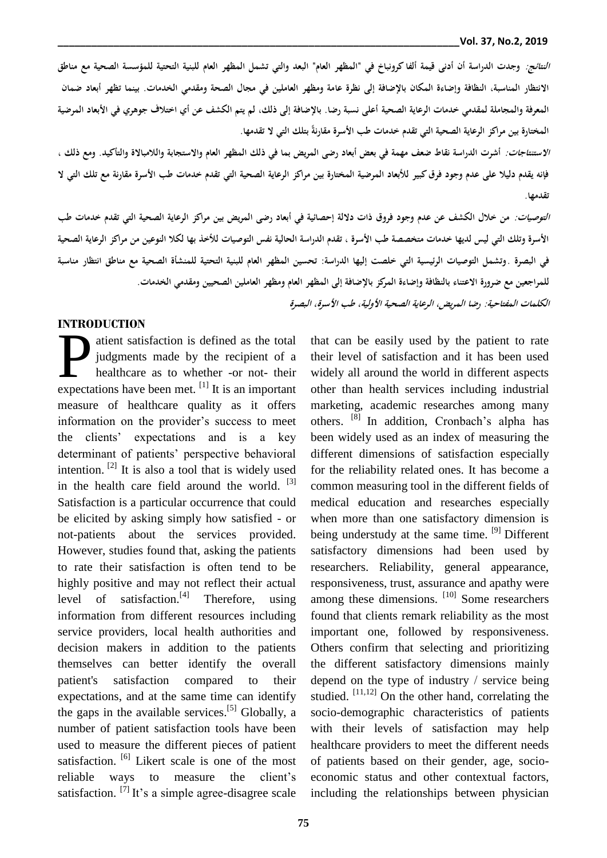**النتائج: وجدت الدراسة أن أدنى قيمة ألفا كرونباخ في "المظهر العام" البعد والتي تشمل المظهر العام للبنية التحتية للمؤسسة الصحية مع مناطق االنتظار المناسبة، النظافة وإضاءة المكان باإلضافة إلى نظرة عامة ومظهر العاملين في مجال الصحة ومقدمي الخدمات. بينما تظهر أبعاد ضمان المعرفة والمجاملة لمقدمي خدمات الرعاية الصحية أعلى نسبة رضا. باإلضافة إلى ذلك، لم يتم الكشف عن أي اختالف جوهري في األبعاد المرضية**  المختارة بين مراكز الرعاية الصحية التي تقدم خدمات طب الأسرة مقارنةً بتلك التي لا تقدمها.

**االستنتاجات: أشرت الدراسة نقاط ضعف مهمة في بعض أبعاد رضى المريض بما في ذلك المظهر العام واالستجابة والالمباالة والتأكيد. ومع ذلك ، فإنه يقدم دليال على عدم وجود فرق كبير لألبعاد المرضية المختارة بين مراكز الرعاية الصحية التي تقدم خدمات طب األسرة مقارنة مع تلك التي ال تقدمها.**

**التوصيات: من خالل الكشف عن عدم وجود فروق ذات داللة إحصائية في أبعاد رضى المريض بين مراكز الرعاية الصحية التي تقدم خدمات طب األسرة وتلك التي ليس لديها خدمات متخصصة طب األسرة ، تقدم الدراسة الحالية نفس التو صيات لألخذ بها لكال النوعين من مراكز الرعاية الصحية في البصرة .وتشمل التوصيات الرئيسية التي خلصت إليها الدراسة: تحسين المظهر العام للبنية التحتية للمنشأة الصحية مع مناطق انتظار مناسبة للمراجعين مع ضرورة االعتناء بالنظافة وإضاءة المركز باإلضافة إلى المظهر العام ومظهر العاملين الصحيين ومقدمي الخدمات. الكلمات المفتاحية: رضا المريض، الرعاية الصحية األولية، طب األسرة، البصرة**

#### **INTRODUCTION**

atient satisfaction is defined as the total judgments made by the recipient of a healthcare as to whether -or not- their atient satisfaction is defined as the total<br>judgments made by the recipient of a<br>healthcare as to whether -or not- their<br>expectations have been met. <sup>[1]</sup> It is an important measure of healthcare quality as it offers information on the provider's success to meet the clients' expectations and is a key determinant of patients' perspective behavioral intention.  $[2]$  It is also a tool that is widely used in the health care field around the world. <sup>[3]</sup> Satisfaction is a particular occurrence that could be elicited by asking simply how satisfied - or not-patients about the services provided. However, studies found that, asking the patients to rate their satisfaction is often tend to be highly positive and may not reflect their actual level of satisfaction.<sup>[4]</sup> Therefore, using information from different resources including service providers, local health authorities and decision makers in addition to the patients themselves can better identify the overall patient's satisfaction compared to their expectations, and at the same time can identify the gaps in the available services.<sup>[5]</sup> Globally, a number of patient satisfaction tools have been used to measure the different pieces of patient satisfaction. <sup>[6]</sup> Likert scale is one of the most reliable ways to measure the client's satisfaction.  $^{[7]}$  It's a simple agree-disagree scale

that can be easily used by the patient to rate their level of satisfaction and it has been used widely all around the world in different aspects other than health services including industrial marketing, academic researches among many others. [8] In addition, Cronbach's alpha has been widely used as an index of measuring the different dimensions of satisfaction especially for the reliability related ones. It has become a common measuring tool in the different fields of medical education and researches especially when more than one satisfactory dimension is being understudy at the same time. <sup>[9]</sup> Different satisfactory dimensions had been used by researchers. Reliability, general appearance, responsiveness, trust, assurance and apathy were among these dimensions. [10] Some researchers found that clients remark reliability as the most important one, followed by responsiveness. Others confirm that selecting and prioritizing the different satisfactory dimensions mainly depend on the type of industry / service being studied.  $[11,12]$  On the other hand, correlating the socio-demographic characteristics of patients with their levels of satisfaction may help healthcare providers to meet the different needs of patients based on their gender, age, socioeconomic status and other contextual factors, including the relationships between physician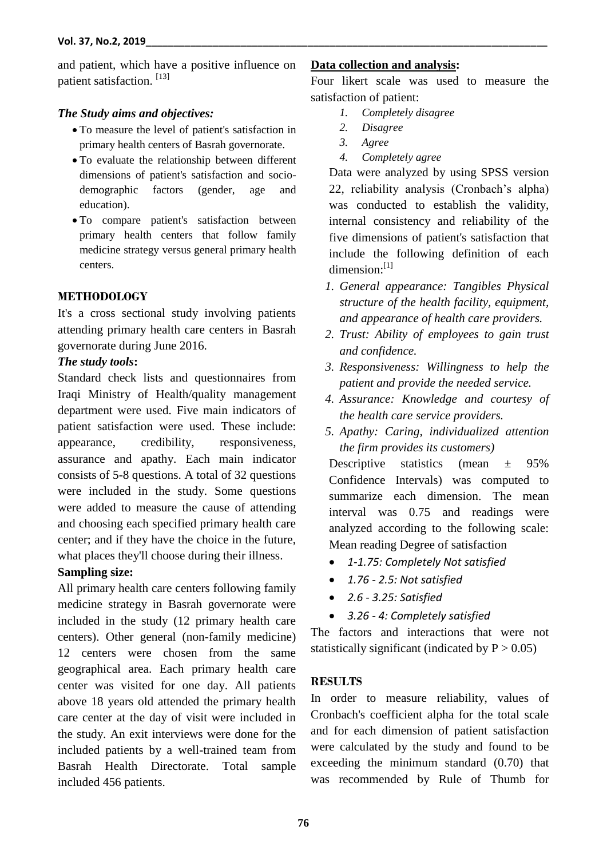and patient, which have a positive influence on patient satisfaction.<sup>[13]</sup>

### *The Study aims and objectives:*

- To measure the level of patient's satisfaction in primary health centers of Basrah governorate.
- To evaluate the relationship between different dimensions of patient's satisfaction and sociodemographic factors (gender, age and education).
- To compare patient's satisfaction between primary health centers that follow family medicine strategy versus general primary health centers.

### **METHODOLOGY**

It's a cross sectional study involving patients attending primary health care centers in Basrah governorate during June 2016.

### *The study tools***:**

Standard check lists and questionnaires from Iraqi Ministry of Health/quality management department were used. Five main indicators of patient satisfaction were used. These include: appearance, credibility, responsiveness, assurance and apathy. Each main indicator consists of 5-8 questions. A total of 32 questions were included in the study. Some questions were added to measure the cause of attending and choosing each specified primary health care center; and if they have the choice in the future, what places they'll choose during their illness.

## **Sampling size:**

All primary health care centers following family medicine strategy in Basrah governorate were included in the study (12 primary health care centers). Other general (non-family medicine) 12 centers were chosen from the same geographical area. Each primary health care center was visited for one day. All patients above 18 years old attended the primary health care center at the day of visit were included in the study. An exit interviews were done for the included patients by a well-trained team from Basrah Health Directorate. Total sample included 456 patients.

# **Data collection and analysis:**

Four likert scale was used to measure the satisfaction of patient:

- *1. Completely disagree*
- *2. Disagree*
- *3. Agree*
- *4. Completely agree*

Data were analyzed by using SPSS version 22, reliability analysis (Cronbach's alpha) was conducted to establish the validity, internal consistency and reliability of the five dimensions of patient's satisfaction that include the following definition of each dimension:[1]

- *1. General appearance: Tangibles Physical structure of the health facility, equipment, and appearance of health care providers.*
- *2. Trust: Ability of employees to gain trust and confidence.*
- *3. Responsiveness: Willingness to help the patient and provide the needed service.*
- *4. Assurance: Knowledge and courtesy of the health care service providers.*
- *5. Apathy: Caring, individualized attention the firm provides its customers)*

Descriptive statistics (mean  $\pm$  95% Confidence Intervals) was computed to summarize each dimension. The mean interval was 0.75 and readings were analyzed according to the following scale: Mean reading Degree of satisfaction

- *1-1.75: Completely Not satisfied*
- *1.76 - 2.5: Not satisfied*
- *2.6 - 3.25: Satisfied*
- *3.26 - 4: Completely satisfied*

The factors and interactions that were not statistically significant (indicated by  $P > 0.05$ )

## **RESULTS**

In order to measure reliability, values of Cronbach's coefficient alpha for the total scale and for each dimension of patient satisfaction were calculated by the study and found to be exceeding the minimum standard (0.70) that was recommended by Rule of Thumb for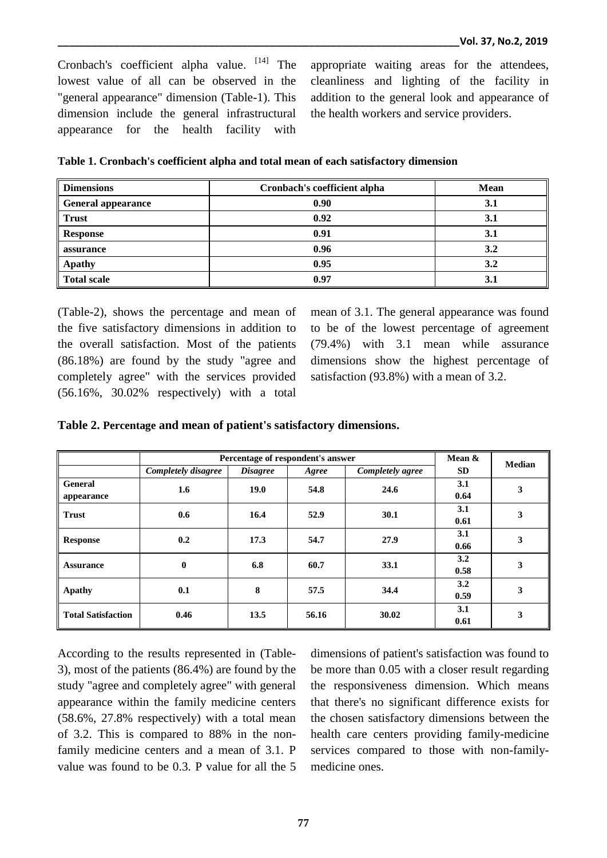Cronbach's coefficient alpha value. [14] The lowest value of all can be observed in the "general appearance" dimension (Table-1). This dimension include the general infrastructural appearance for the health facility with

appropriate waiting areas for the attendees, cleanliness and lighting of the facility in addition to the general look and appearance of the health workers and service providers.

**Table 1. Cronbach's coefficient alpha and total mean of each satisfactory dimension**

| <b>Dimensions</b>  | Cronbach's coefficient alpha | <b>Mean</b> |
|--------------------|------------------------------|-------------|
| General appearance | 0.90                         | 3.1         |
| <b>Trust</b>       | 0.92                         | 3.1         |
| <b>Response</b>    | 0.91                         | 3.1         |
| assurance          | 0.96                         | 3.2         |
| <b>Apathy</b>      | 0.95                         | 3.2         |
| <b>Total scale</b> | 0.97                         | 3.1         |

(Table-2), shows the percentage and mean of the five satisfactory dimensions in addition to the overall satisfaction. Most of the patients (86.18%) are found by the study "agree and completely agree" with the services provided (56.16%, 30.02% respectively) with a total

mean of 3.1. The general appearance was found to be of the lowest percentage of agreement (79.4%) with 3.1 mean while assurance dimensions show the highest percentage of satisfaction (93.8%) with a mean of 3.2.

| Table 2. Percentage and mean of patient's satisfactory dimensions. |  |  |  |
|--------------------------------------------------------------------|--|--|--|
|--------------------------------------------------------------------|--|--|--|

|                              | Percentage of respondent's answer | Mean &          | <b>Median</b> |                  |             |   |  |
|------------------------------|-----------------------------------|-----------------|---------------|------------------|-------------|---|--|
|                              | Completely disagree               | <i>Disagree</i> | Agree         | Completely agree | <b>SD</b>   |   |  |
| <b>General</b><br>appearance | 1.6                               | 19.0            | 54.8          | 24.6             | 3.1<br>0.64 | 3 |  |
| <b>Trust</b>                 | 0.6<br>16.4<br>52.9<br>30.1       |                 | 3.1<br>0.61   | 3                |             |   |  |
| <b>Response</b>              | 0.2                               | 17.3            | 54.7          | 27.9             | 3.1<br>0.66 | 3 |  |
| <b>Assurance</b>             | $\bf{0}$                          | 6.8             | 60.7          | 33.1             | 3.2<br>0.58 | 3 |  |
| Apathy                       | 0.1                               | 8               | 57.5          | 34.4             | 3.2<br>0.59 | 3 |  |
| <b>Total Satisfaction</b>    | 0.46                              | 13.5            | 56.16         | 30.02            | 3.1<br>0.61 | 3 |  |

According to the results represented in (Table-3), most of the patients (86.4%) are found by the study "agree and completely agree" with general appearance within the family medicine centers (58.6%, 27.8% respectively) with a total mean of 3.2. This is compared to 88% in the nonfamily medicine centers and a mean of 3.1. P value was found to be 0.3. P value for all the 5 dimensions of patient's satisfaction was found to be more than 0.05 with a closer result regarding the responsiveness dimension. Which means that there's no significant difference exists for the chosen satisfactory dimensions between the health care centers providing family-medicine services compared to those with non-familymedicine ones.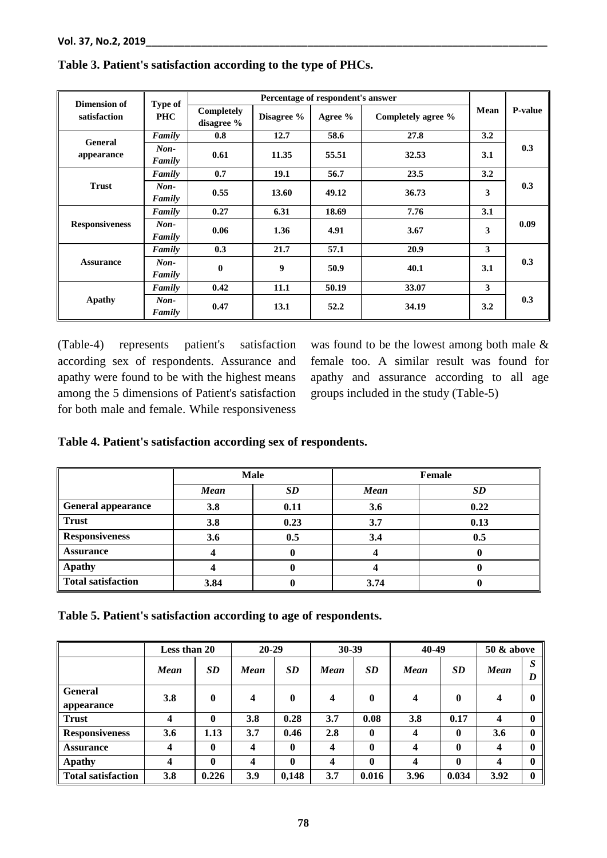| <b>Dimension of</b>   | Type of          |                          |            |           |                    |      |         |  |
|-----------------------|------------------|--------------------------|------------|-----------|--------------------|------|---------|--|
| satisfaction          | <b>PHC</b>       | Completely<br>disagree % | Disagree % | Agree $%$ | Completely agree % | Mean | P-value |  |
| General               | Family           | 0.8                      | 12.7       | 58.6      | 27.8               | 3.2  |         |  |
| appearance            | $Non-$<br>Family | 0.61                     | 11.35      | 55.51     | 32.53              | 3.1  | 0.3     |  |
|                       | Family           | 0.7                      | 19.1       | 56.7      | 23.5               | 3.2  |         |  |
| <b>Trust</b>          | $Non-$<br>Family | 0.55                     | 13.60      | 49.12     | 36.73              | 3    | 0.3     |  |
| <b>Responsiveness</b> | Family           | 0.27                     | 6.31       | 18.69     | 7.76               | 3.1  | 0.09    |  |
|                       | $Non-$<br>Family | 0.06                     | 1.36       | 4.91      | 3.67               | 3    |         |  |
| <b>Assurance</b>      | Family           |                          | 21.7       | 57.1      | 20.9               | 3    |         |  |
|                       | $Non-$<br>Family | $\mathbf{0}$             | 9          | 50.9      | 40.1               | 3.1  | 0.3     |  |
| <b>Apathy</b>         | Family           | 0.42                     | 11.1       | 50.19     | 33.07              | 3    |         |  |
|                       | $Non-$<br>Family | 0.47                     | 13.1       | 52.2      | 34.19              | 3.2  | 0.3     |  |

## **Table 3. Patient's satisfaction according to the type of PHCs.**

(Table-4) represents patient's satisfaction according sex of respondents. Assurance and apathy were found to be with the highest means among the 5 dimensions of Patient's satisfaction for both male and female. While responsiveness

was found to be the lowest among both male & female too. A similar result was found for apathy and assurance according to all age groups included in the study (Table-5)

# **Table 4. Patient's satisfaction according sex of respondents.**

|                       |             | <b>Male</b> |             | Female |
|-----------------------|-------------|-------------|-------------|--------|
|                       | <b>Mean</b> | <b>SD</b>   | <b>Mean</b> | SD     |
| General appearance    | 3.8         | 0.11        | 3.6         | 0.22   |
| $\parallel$ Trust     | 3.8         | 0.23        | 3.7         | 0.13   |
| <b>Responsiveness</b> | 3.6         | 0.5         | 3.4         | 0.5    |
| <b>Assurance</b>      |             |             |             |        |
| <b>Apathy</b>         |             |             |             |        |
| Total satisfaction    | 3.84        |             | 3.74        |        |

**Table 5. Patient's satisfaction according to age of respondents.**

|                              | <b>Less than 20</b> |              | $20 - 29$ |              | $30 - 39$ |              | 40-49            |              | <b>50 &amp; above</b> |              |
|------------------------------|---------------------|--------------|-----------|--------------|-----------|--------------|------------------|--------------|-----------------------|--------------|
|                              | <b>Mean</b>         | <b>SD</b>    | Mean      | <b>SD</b>    | Mean      | <b>SD</b>    | <b>Mean</b>      | <b>SD</b>    | Mean                  | S<br>D       |
| <b>General</b><br>appearance | 3.8                 | $\bf{0}$     | 4         | $\bf{0}$     | 4         | $\mathbf{0}$ | 4                | $\mathbf{0}$ | 4                     | $\mathbf{0}$ |
| <b>Trust</b>                 | 4                   | $\bf{0}$     | 3.8       | 0.28         | 3.7       | 0.08         | 3.8              | 0.17         | 4                     | 0            |
| <b>Responsiveness</b>        | 3.6                 | 1.13         | 3.7       | 0.46         | 2.8       | $\bf{0}$     | $\boldsymbol{4}$ | $\mathbf{0}$ | 3.6                   | 0            |
| <b>Assurance</b>             | 4                   | $\bf{0}$     | 4         | $\bf{0}$     | 4         | $\mathbf{0}$ | 4                | $\mathbf{0}$ | 4                     | 0            |
| Apathy                       | 4                   | $\mathbf{0}$ | 4         | $\mathbf{0}$ | 4         | $\mathbf{0}$ | 4                | $\mathbf{0}$ | 4                     | 0            |
| Total satisfaction           | 3.8                 | 0.226        | 3.9       | 0,148        | 3.7       | 0.016        | 3.96             | 0.034        | 3.92                  | 0            |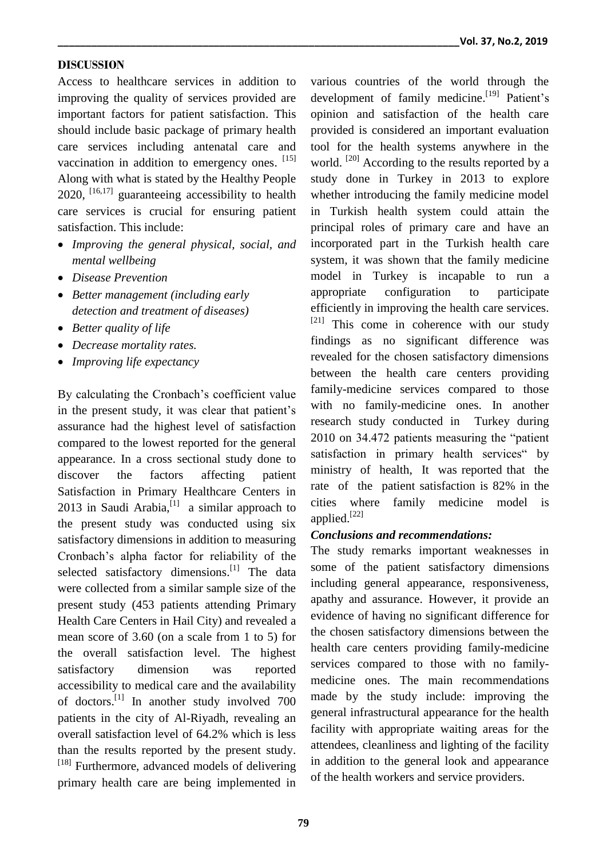#### **DISCUSSION**

Access to healthcare services in addition to improving the quality of services provided are important factors for patient satisfaction. This should include basic package of primary health care services including antenatal care and vaccination in addition to emergency ones. [15] Along with what is stated by the Healthy People  $2020$ ,  $^{[16,17]}$  guaranteeing accessibility to health care services is crucial for ensuring patient satisfaction. This include:

- *Improving the general physical, social, and mental wellbeing*
- *Disease Prevention*
- *Better management (including early detection and treatment of diseases)*
- *Better quality of life*
- *Decrease mortality rates.*
- *Improving life expectancy*

By calculating the Cronbach's coefficient value in the present study, it was clear that patient's assurance had the highest level of satisfaction compared to the lowest reported for the general appearance. In a cross sectional study done to discover the factors affecting patient Satisfaction in Primary Healthcare Centers in 2013 in Saudi Arabia, $^{[1]}$  a similar approach to the present study was conducted using six satisfactory dimensions in addition to measuring Cronbach's alpha factor for reliability of the selected satisfactory dimensions.<sup>[1]</sup> The data were collected from a similar sample size of the present study (453 patients attending Primary Health Care Centers in Hail City) and revealed a mean score of 3.60 (on a scale from 1 to 5) for the overall satisfaction level. The highest satisfactory dimension was reported accessibility to medical care and the availability of doctors.<sup>[1]</sup> In another study involved 700 patients in the city of Al-Riyadh, revealing an overall satisfaction level of 64.2% which is less than the results reported by the present study. [18] Furthermore, advanced models of delivering primary health care are being implemented in

various countries of the world through the development of family medicine.<sup>[19]</sup> Patient's opinion and satisfaction of the health care provided is considered an important evaluation tool for the health systems anywhere in the world.<sup>[20]</sup> According to the results reported by a study done in Turkey in 2013 to explore whether introducing the family medicine model in Turkish health system could attain the principal roles of primary care and have an incorporated part in the Turkish health care system, it was shown that the family medicine model in Turkey is incapable to run a appropriate configuration to participate efficiently in improving the health care services.  $[21]$  This come in coherence with our study findings as no significant difference was revealed for the chosen satisfactory dimensions between the health care centers providing family-medicine services compared to those with no family-medicine ones. In another research study conducted in Turkey during 2010 on 34.472 patients measuring the "patient satisfaction in primary health services" by ministry of health, It was reported that the rate of the patient satisfaction is 82% in the cities where family medicine model is applied.<sup>[22]</sup>

#### *Conclusions and recommendations:*

The study remarks important weaknesses in some of the patient satisfactory dimensions including general appearance, responsiveness, apathy and assurance. However, it provide an evidence of having no significant difference for the chosen satisfactory dimensions between the health care centers providing family-medicine services compared to those with no familymedicine ones. The main recommendations made by the study include: improving the general infrastructural appearance for the health facility with appropriate waiting areas for the attendees, cleanliness and lighting of the facility in addition to the general look and appearance of the health workers and service providers.